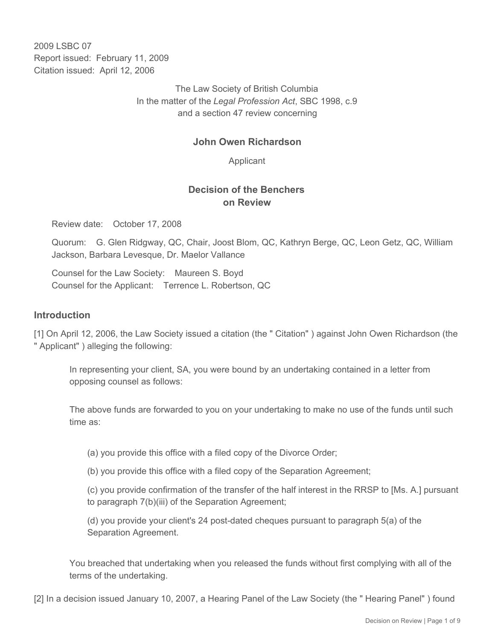2009 LSBC 07 Report issued: February 11, 2009 Citation issued: April 12, 2006

> The Law Society of British Columbia In the matter of the *Legal Profession Act*, SBC 1998, c.9 and a section 47 review concerning

### **John Owen Richardson**

Applicant

## **Decision of the Benchers on Review**

Review date: October 17, 2008

Quorum: G. Glen Ridgway, QC, Chair, Joost Blom, QC, Kathryn Berge, QC, Leon Getz, QC, William Jackson, Barbara Levesque, Dr. Maelor Vallance

Counsel for the Law Society: Maureen S. Boyd Counsel for the Applicant: Terrence L. Robertson, QC

#### **Introduction**

[1] On April 12, 2006, the Law Society issued a citation (the " Citation" ) against John Owen Richardson (the " Applicant" ) alleging the following:

In representing your client, SA, you were bound by an undertaking contained in a letter from opposing counsel as follows:

The above funds are forwarded to you on your undertaking to make no use of the funds until such time as:

(a) you provide this office with a filed copy of the Divorce Order;

(b) you provide this office with a filed copy of the Separation Agreement;

(c) you provide confirmation of the transfer of the half interest in the RRSP to [Ms. A.] pursuant to paragraph 7(b)(iii) of the Separation Agreement;

(d) you provide your client's 24 post-dated cheques pursuant to paragraph 5(a) of the Separation Agreement.

You breached that undertaking when you released the funds without first complying with all of the terms of the undertaking.

[2] In a decision issued January 10, 2007, a Hearing Panel of the Law Society (the " Hearing Panel" ) found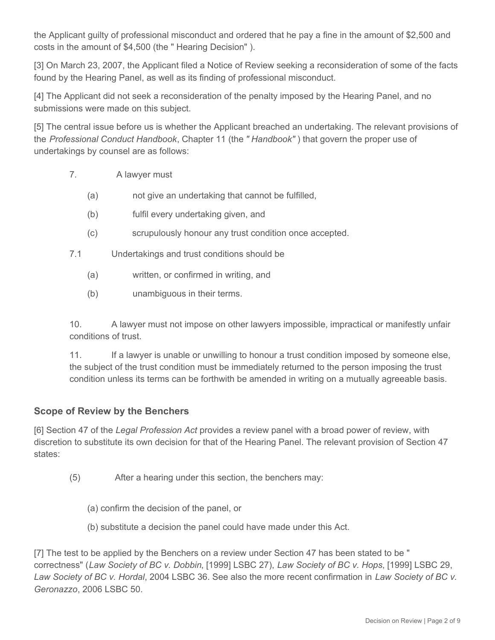the Applicant guilty of professional misconduct and ordered that he pay a fine in the amount of \$2,500 and costs in the amount of \$4,500 (the " Hearing Decision" ).

[3] On March 23, 2007, the Applicant filed a Notice of Review seeking a reconsideration of some of the facts found by the Hearing Panel, as well as its finding of professional misconduct.

[4] The Applicant did not seek a reconsideration of the penalty imposed by the Hearing Panel, and no submissions were made on this subject.

[5] The central issue before us is whether the Applicant breached an undertaking. The relevant provisions of the *Professional Conduct Handbook*, Chapter 11 (the *" Handbook"* ) that govern the proper use of undertakings by counsel are as follows:

- 7. A lawyer must
	- (a) not give an undertaking that cannot be fulfilled,
	- (b) fulfil every undertaking given, and
	- (c) scrupulously honour any trust condition once accepted.
- 7.1 Undertakings and trust conditions should be
	- (a) written, or confirmed in writing, and
	- (b) unambiguous in their terms.

10. A lawyer must not impose on other lawyers impossible, impractical or manifestly unfair conditions of trust.

11. If a lawyer is unable or unwilling to honour a trust condition imposed by someone else, the subject of the trust condition must be immediately returned to the person imposing the trust condition unless its terms can be forthwith be amended in writing on a mutually agreeable basis.

### **Scope of Review by the Benchers**

[6] Section 47 of the *Legal Profession Act* provides a review panel with a broad power of review, with discretion to substitute its own decision for that of the Hearing Panel. The relevant provision of Section 47 states:

- (5) After a hearing under this section, the benchers may:
	- (a) confirm the decision of the panel, or
	- (b) substitute a decision the panel could have made under this Act.

[7] The test to be applied by the Benchers on a review under Section 47 has been stated to be " correctness" (*Law Society of BC v. Dobbin*, [1999] LSBC 27), *Law Society of BC v. Hops*, [1999] LSBC 29, *Law Society of BC v. Hordal*, 2004 LSBC 36. See also the more recent confirmation in *Law Society of BC v. Geronazzo*, 2006 LSBC 50.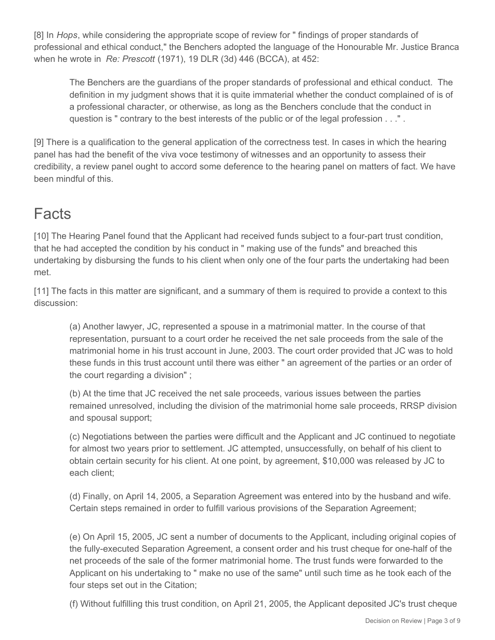[8] In *Hops*, while considering the appropriate scope of review for " findings of proper standards of professional and ethical conduct," the Benchers adopted the language of the Honourable Mr. Justice Branca when he wrote in *Re: Prescott* (1971), 19 DLR (3d) 446 (BCCA), at 452:

The Benchers are the guardians of the proper standards of professional and ethical conduct. The definition in my judgment shows that it is quite immaterial whether the conduct complained of is of a professional character, or otherwise, as long as the Benchers conclude that the conduct in question is " contrary to the best interests of the public or of the legal profession . . ." .

[9] There is a qualification to the general application of the correctness test. In cases in which the hearing panel has had the benefit of the viva voce testimony of witnesses and an opportunity to assess their credibility, a review panel ought to accord some deference to the hearing panel on matters of fact. We have been mindful of this.

# Facts

[10] The Hearing Panel found that the Applicant had received funds subject to a four-part trust condition, that he had accepted the condition by his conduct in " making use of the funds" and breached this undertaking by disbursing the funds to his client when only one of the four parts the undertaking had been met.

[11] The facts in this matter are significant, and a summary of them is required to provide a context to this discussion:

(a) Another lawyer, JC, represented a spouse in a matrimonial matter. In the course of that representation, pursuant to a court order he received the net sale proceeds from the sale of the matrimonial home in his trust account in June, 2003. The court order provided that JC was to hold these funds in this trust account until there was either " an agreement of the parties or an order of the court regarding a division" ;

(b) At the time that JC received the net sale proceeds, various issues between the parties remained unresolved, including the division of the matrimonial home sale proceeds, RRSP division and spousal support;

(c) Negotiations between the parties were difficult and the Applicant and JC continued to negotiate for almost two years prior to settlement. JC attempted, unsuccessfully, on behalf of his client to obtain certain security for his client. At one point, by agreement, \$10,000 was released by JC to each client;

(d) Finally, on April 14, 2005, a Separation Agreement was entered into by the husband and wife. Certain steps remained in order to fulfill various provisions of the Separation Agreement;

(e) On April 15, 2005, JC sent a number of documents to the Applicant, including original copies of the fully-executed Separation Agreement, a consent order and his trust cheque for one-half of the net proceeds of the sale of the former matrimonial home. The trust funds were forwarded to the Applicant on his undertaking to " make no use of the same" until such time as he took each of the four steps set out in the Citation;

(f) Without fulfilling this trust condition, on April 21, 2005, the Applicant deposited JC's trust cheque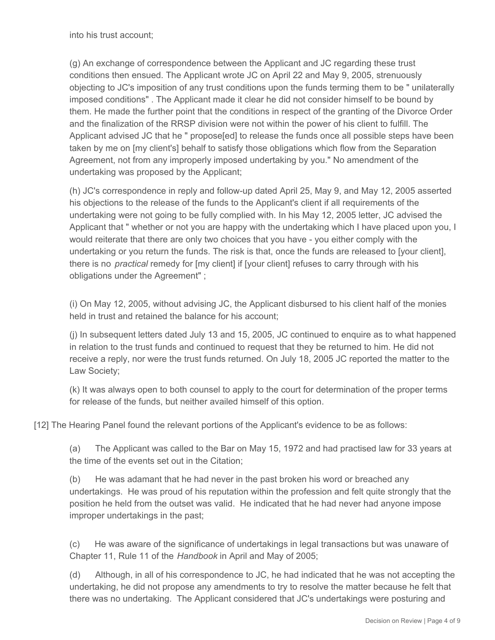into his trust account;

(g) An exchange of correspondence between the Applicant and JC regarding these trust conditions then ensued. The Applicant wrote JC on April 22 and May 9, 2005, strenuously objecting to JC's imposition of any trust conditions upon the funds terming them to be " unilaterally imposed conditions" . The Applicant made it clear he did not consider himself to be bound by them. He made the further point that the conditions in respect of the granting of the Divorce Order and the finalization of the RRSP division were not within the power of his client to fulfill. The Applicant advised JC that he " propose[ed] to release the funds once all possible steps have been taken by me on [my client's] behalf to satisfy those obligations which flow from the Separation Agreement, not from any improperly imposed undertaking by you." No amendment of the undertaking was proposed by the Applicant;

(h) JC's correspondence in reply and follow-up dated April 25, May 9, and May 12, 2005 asserted his objections to the release of the funds to the Applicant's client if all requirements of the undertaking were not going to be fully complied with. In his May 12, 2005 letter, JC advised the Applicant that " whether or not you are happy with the undertaking which I have placed upon you, I would reiterate that there are only two choices that you have - you either comply with the undertaking or you return the funds. The risk is that, once the funds are released to [your client], there is no *practical* remedy for [my client] if [your client] refuses to carry through with his obligations under the Agreement" ;

(i) On May 12, 2005, without advising JC, the Applicant disbursed to his client half of the monies held in trust and retained the balance for his account;

(j) In subsequent letters dated July 13 and 15, 2005, JC continued to enquire as to what happened in relation to the trust funds and continued to request that they be returned to him. He did not receive a reply, nor were the trust funds returned. On July 18, 2005 JC reported the matter to the Law Society;

(k) It was always open to both counsel to apply to the court for determination of the proper terms for release of the funds, but neither availed himself of this option.

[12] The Hearing Panel found the relevant portions of the Applicant's evidence to be as follows:

(a) The Applicant was called to the Bar on May 15, 1972 and had practised law for 33 years at the time of the events set out in the Citation;

(b) He was adamant that he had never in the past broken his word or breached any undertakings. He was proud of his reputation within the profession and felt quite strongly that the position he held from the outset was valid. He indicated that he had never had anyone impose improper undertakings in the past;

(c) He was aware of the significance of undertakings in legal transactions but was unaware of Chapter 11, Rule 11 of the *Handbook* in April and May of 2005;

(d) Although, in all of his correspondence to JC, he had indicated that he was not accepting the undertaking, he did not propose any amendments to try to resolve the matter because he felt that there was no undertaking. The Applicant considered that JC's undertakings were posturing and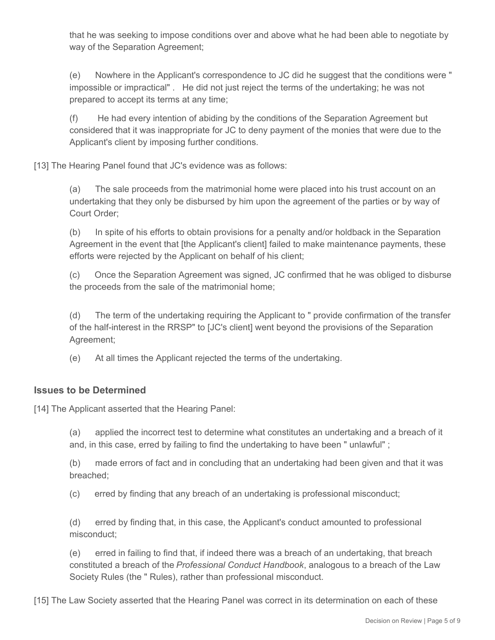that he was seeking to impose conditions over and above what he had been able to negotiate by way of the Separation Agreement;

(e) Nowhere in the Applicant's correspondence to JC did he suggest that the conditions were " impossible or impractical" . He did not just reject the terms of the undertaking; he was not prepared to accept its terms at any time;

(f) He had every intention of abiding by the conditions of the Separation Agreement but considered that it was inappropriate for JC to deny payment of the monies that were due to the Applicant's client by imposing further conditions.

[13] The Hearing Panel found that JC's evidence was as follows:

(a) The sale proceeds from the matrimonial home were placed into his trust account on an undertaking that they only be disbursed by him upon the agreement of the parties or by way of Court Order;

(b) In spite of his efforts to obtain provisions for a penalty and/or holdback in the Separation Agreement in the event that [the Applicant's client] failed to make maintenance payments, these efforts were rejected by the Applicant on behalf of his client;

(c) Once the Separation Agreement was signed, JC confirmed that he was obliged to disburse the proceeds from the sale of the matrimonial home;

(d) The term of the undertaking requiring the Applicant to " provide confirmation of the transfer of the half-interest in the RRSP" to [JC's client] went beyond the provisions of the Separation Agreement;

(e) At all times the Applicant rejected the terms of the undertaking.

## **Issues to be Determined**

[14] The Applicant asserted that the Hearing Panel:

(a) applied the incorrect test to determine what constitutes an undertaking and a breach of it and, in this case, erred by failing to find the undertaking to have been " unlawful" ;

(b) made errors of fact and in concluding that an undertaking had been given and that it was breached;

(c) erred by finding that any breach of an undertaking is professional misconduct;

(d) erred by finding that, in this case, the Applicant's conduct amounted to professional misconduct;

(e) erred in failing to find that, if indeed there was a breach of an undertaking, that breach constituted a breach of the *Professional Conduct Handbook*, analogous to a breach of the Law Society Rules (the " Rules), rather than professional misconduct.

[15] The Law Society asserted that the Hearing Panel was correct in its determination on each of these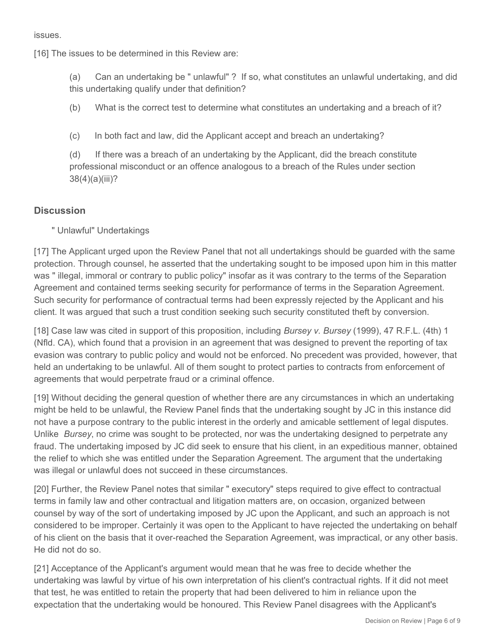issues.

[16] The issues to be determined in this Review are:

(a) Can an undertaking be " unlawful" ? If so, what constitutes an unlawful undertaking, and did this undertaking qualify under that definition?

(b) What is the correct test to determine what constitutes an undertaking and a breach of it?

(c) In both fact and law, did the Applicant accept and breach an undertaking?

(d) If there was a breach of an undertaking by the Applicant, did the breach constitute professional misconduct or an offence analogous to a breach of the Rules under section 38(4)(a)(iii)?

## **Discussion**

" Unlawful" Undertakings

[17] The Applicant urged upon the Review Panel that not all undertakings should be guarded with the same protection. Through counsel, he asserted that the undertaking sought to be imposed upon him in this matter was " illegal, immoral or contrary to public policy" insofar as it was contrary to the terms of the Separation Agreement and contained terms seeking security for performance of terms in the Separation Agreement. Such security for performance of contractual terms had been expressly rejected by the Applicant and his client. It was argued that such a trust condition seeking such security constituted theft by conversion.

[18] Case law was cited in support of this proposition, including *Bursey v. Bursey* (1999), 47 R.F.L. (4th) 1 (Nfld. CA), which found that a provision in an agreement that was designed to prevent the reporting of tax evasion was contrary to public policy and would not be enforced. No precedent was provided, however, that held an undertaking to be unlawful. All of them sought to protect parties to contracts from enforcement of agreements that would perpetrate fraud or a criminal offence.

[19] Without deciding the general question of whether there are any circumstances in which an undertaking might be held to be unlawful, the Review Panel finds that the undertaking sought by JC in this instance did not have a purpose contrary to the public interest in the orderly and amicable settlement of legal disputes. Unlike *Bursey*, no crime was sought to be protected, nor was the undertaking designed to perpetrate any fraud. The undertaking imposed by JC did seek to ensure that his client, in an expeditious manner, obtained the relief to which she was entitled under the Separation Agreement. The argument that the undertaking was illegal or unlawful does not succeed in these circumstances.

[20] Further, the Review Panel notes that similar " executory" steps required to give effect to contractual terms in family law and other contractual and litigation matters are, on occasion, organized between counsel by way of the sort of undertaking imposed by JC upon the Applicant, and such an approach is not considered to be improper. Certainly it was open to the Applicant to have rejected the undertaking on behalf of his client on the basis that it over-reached the Separation Agreement, was impractical, or any other basis. He did not do so.

[21] Acceptance of the Applicant's argument would mean that he was free to decide whether the undertaking was lawful by virtue of his own interpretation of his client's contractual rights. If it did not meet that test, he was entitled to retain the property that had been delivered to him in reliance upon the expectation that the undertaking would be honoured. This Review Panel disagrees with the Applicant's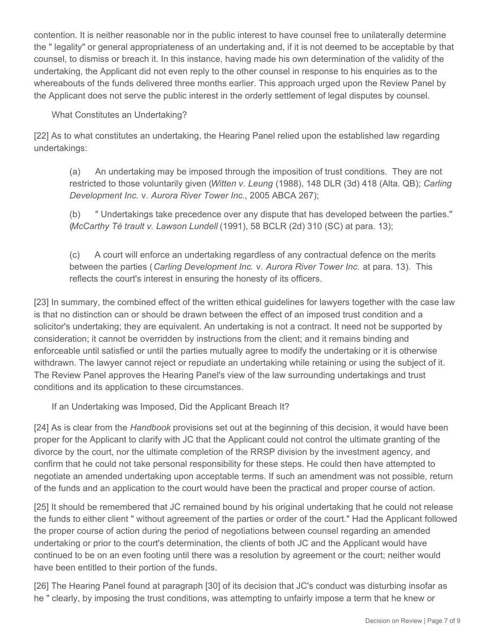contention. It is neither reasonable nor in the public interest to have counsel free to unilaterally determine the " legality" or general appropriateness of an undertaking and, if it is not deemed to be acceptable by that counsel, to dismiss or breach it. In this instance, having made his own determination of the validity of the undertaking, the Applicant did not even reply to the other counsel in response to his enquiries as to the whereabouts of the funds delivered three months earlier. This approach urged upon the Review Panel by the Applicant does not serve the public interest in the orderly settlement of legal disputes by counsel.

What Constitutes an Undertaking?

[22] As to what constitutes an undertaking, the Hearing Panel relied upon the established law regarding undertakings:

(a) An undertaking may be imposed through the imposition of trust conditions. They are not restricted to those voluntarily given (*Witten v. Leung* (1988), 148 DLR (3d) 418 (Alta. QB); *Carling Development Inc.* v. *Aurora River Tower Inc.*, 2005 ABCA 267);

(b) " Undertakings take precedence over any dispute that has developed between the parties." (*McCarthy Té trault v. Lawson Lundell* (1991), 58 BCLR (2d) 310 (SC) at para. 13);

(c) A court will enforce an undertaking regardless of any contractual defence on the merits between the parties (*Carling Development Inc.* v. *Aurora River Tower Inc.* at para. 13). This reflects the court's interest in ensuring the honesty of its officers.

[23] In summary, the combined effect of the written ethical guidelines for lawyers together with the case law is that no distinction can or should be drawn between the effect of an imposed trust condition and a solicitor's undertaking; they are equivalent. An undertaking is not a contract. It need not be supported by consideration; it cannot be overridden by instructions from the client; and it remains binding and enforceable until satisfied or until the parties mutually agree to modify the undertaking or it is otherwise withdrawn. The lawyer cannot reject or repudiate an undertaking while retaining or using the subject of it. The Review Panel approves the Hearing Panel's view of the law surrounding undertakings and trust conditions and its application to these circumstances.

If an Undertaking was Imposed, Did the Applicant Breach It?

[24] As is clear from the *Handbook* provisions set out at the beginning of this decision, it would have been proper for the Applicant to clarify with JC that the Applicant could not control the ultimate granting of the divorce by the court, nor the ultimate completion of the RRSP division by the investment agency, and confirm that he could not take personal responsibility for these steps. He could then have attempted to negotiate an amended undertaking upon acceptable terms. If such an amendment was not possible, return of the funds and an application to the court would have been the practical and proper course of action.

[25] It should be remembered that JC remained bound by his original undertaking that he could not release the funds to either client " without agreement of the parties or order of the court." Had the Applicant followed the proper course of action during the period of negotiations between counsel regarding an amended undertaking or prior to the court's determination, the clients of both JC and the Applicant would have continued to be on an even footing until there was a resolution by agreement or the court; neither would have been entitled to their portion of the funds.

[26] The Hearing Panel found at paragraph [30] of its decision that JC's conduct was disturbing insofar as he " clearly, by imposing the trust conditions, was attempting to unfairly impose a term that he knew or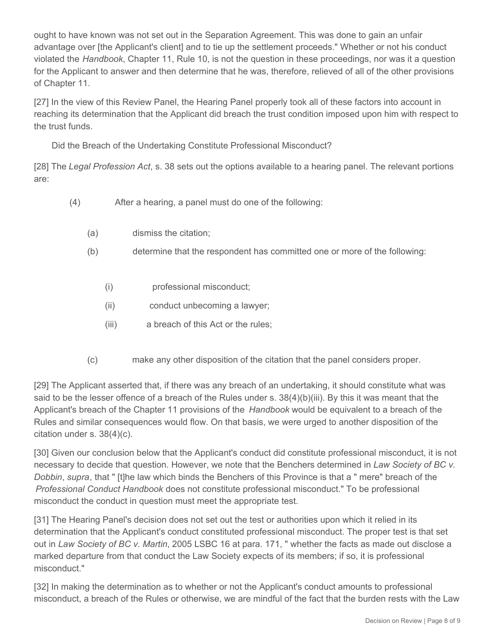ought to have known was not set out in the Separation Agreement. This was done to gain an unfair advantage over [the Applicant's client] and to tie up the settlement proceeds." Whether or not his conduct violated the *Handbook*, Chapter 11, Rule 10, is not the question in these proceedings, nor was it a question for the Applicant to answer and then determine that he was, therefore, relieved of all of the other provisions of Chapter 11.

[27] In the view of this Review Panel, the Hearing Panel properly took all of these factors into account in reaching its determination that the Applicant did breach the trust condition imposed upon him with respect to the trust funds.

Did the Breach of the Undertaking Constitute Professional Misconduct?

[28] The *Legal Profession Act*, s. 38 sets out the options available to a hearing panel. The relevant portions are:

- (4) After a hearing, a panel must do one of the following:
	- (a) dismiss the citation;
	- (b) determine that the respondent has committed one or more of the following:
		- (i) professional misconduct;
		- (ii) conduct unbecoming a lawyer;
		- (iii) a breach of this Act or the rules;
	- (c) make any other disposition of the citation that the panel considers proper.

[29] The Applicant asserted that, if there was any breach of an undertaking, it should constitute what was said to be the lesser offence of a breach of the Rules under s. 38(4)(b)(iii). By this it was meant that the Applicant's breach of the Chapter 11 provisions of the *Handbook* would be equivalent to a breach of the Rules and similar consequences would flow. On that basis, we were urged to another disposition of the citation under s. 38(4)(c).

[30] Given our conclusion below that the Applicant's conduct did constitute professional misconduct, it is not necessary to decide that question. However, we note that the Benchers determined in *Law Society of BC v. Dobbin*, *supra*, that " [t]he law which binds the Benchers of this Province is that a " mere" breach of the *Professional Conduct Handbook* does not constitute professional misconduct." To be professional misconduct the conduct in question must meet the appropriate test.

[31] The Hearing Panel's decision does not set out the test or authorities upon which it relied in its determination that the Applicant's conduct constituted professional misconduct. The proper test is that set out in *Law Society of BC v. Martin*, 2005 LSBC 16 at para. 171, " whether the facts as made out disclose a marked departure from that conduct the Law Society expects of its members; if so, it is professional misconduct."

[32] In making the determination as to whether or not the Applicant's conduct amounts to professional misconduct, a breach of the Rules or otherwise, we are mindful of the fact that the burden rests with the Law